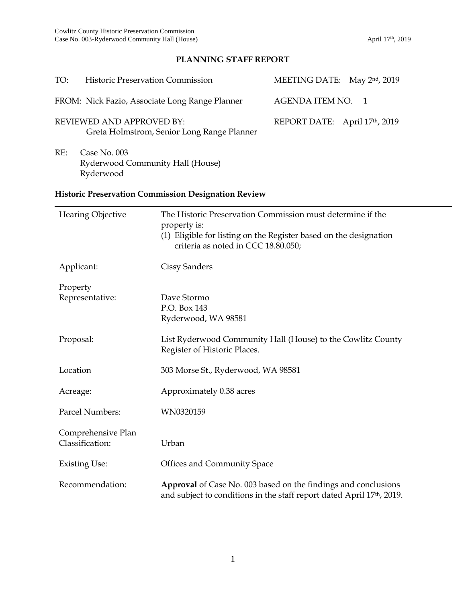# **PLANNING STAFF REPORT**

| TO:                                                                     | <b>Historic Preservation Commission</b> |                                                                                                                                                                                        | MEETING DATE: May 2nd, 2019   |
|-------------------------------------------------------------------------|-----------------------------------------|----------------------------------------------------------------------------------------------------------------------------------------------------------------------------------------|-------------------------------|
| FROM: Nick Fazio, Associate Long Range Planner                          |                                         |                                                                                                                                                                                        | AGENDA ITEM NO.<br>-1         |
| REVIEWED AND APPROVED BY:<br>Greta Holmstrom, Senior Long Range Planner |                                         |                                                                                                                                                                                        | REPORT DATE: April 17th, 2019 |
| RE:<br>Case No. 003<br>Ryderwood Community Hall (House)<br>Ryderwood    |                                         |                                                                                                                                                                                        |                               |
| <b>Historic Preservation Commission Designation Review</b>              |                                         |                                                                                                                                                                                        |                               |
| <b>Hearing Objective</b>                                                |                                         | The Historic Preservation Commission must determine if the<br>property is:<br>(1) Eligible for listing on the Register based on the designation<br>criteria as noted in CCC 18.80.050; |                               |
| Applicant:                                                              |                                         | Cissy Sanders                                                                                                                                                                          |                               |
| Property<br>Representative:                                             |                                         | Dave Stormo<br>P.O. Box 143<br>Ryderwood, WA 98581                                                                                                                                     |                               |
| Proposal:                                                               |                                         | List Ryderwood Community Hall (House) to the Cowlitz County<br>Register of Historic Places.                                                                                            |                               |
| Location                                                                |                                         | 303 Morse St., Ryderwood, WA 98581                                                                                                                                                     |                               |
| Acreage:                                                                |                                         | Approximately 0.38 acres                                                                                                                                                               |                               |
| Parcel Numbers:                                                         |                                         | WN0320159                                                                                                                                                                              |                               |
| Comprehensive Plan<br>Classification:                                   |                                         | Urban                                                                                                                                                                                  |                               |
| <b>Existing Use:</b>                                                    |                                         | Offices and Community Space                                                                                                                                                            |                               |

Recommendation: **Approval** of Case No. 003 based on the findings and conclusions and subject to conditions in the staff report dated April 17<sup>th</sup>, 2019.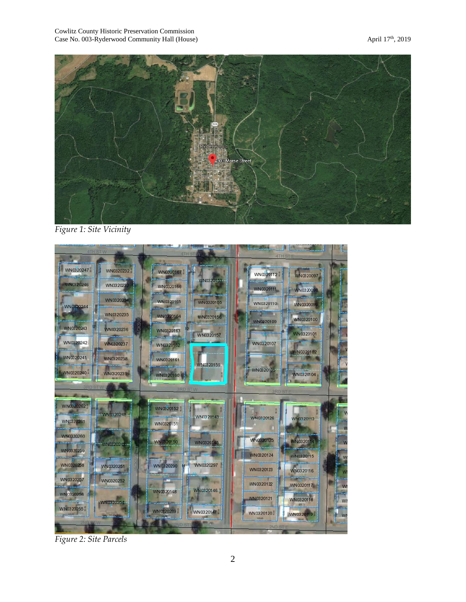

*Figure 1: Site Vicinity*



*Figure 2: Site Parcels*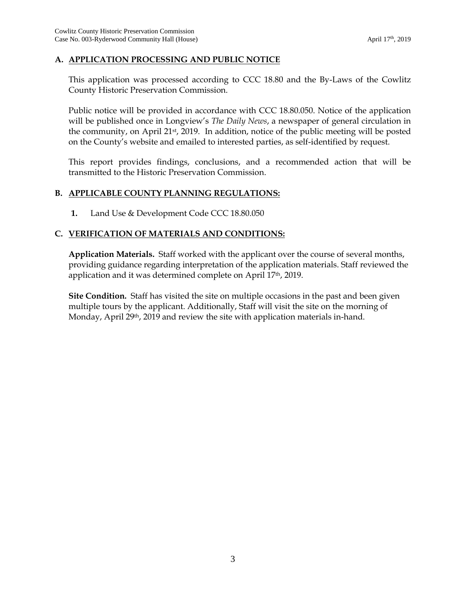#### **A. APPLICATION PROCESSING AND PUBLIC NOTICE**

This application was processed according to CCC 18.80 and the By-Laws of the Cowlitz County Historic Preservation Commission.

Public notice will be provided in accordance with CCC 18.80.050. Notice of the application will be published once in Longview's *The Daily News*, a newspaper of general circulation in the community, on April 21st, 2019. In addition, notice of the public meeting will be posted on the County's website and emailed to interested parties, as self-identified by request.

This report provides findings, conclusions, and a recommended action that will be transmitted to the Historic Preservation Commission.

#### **B. APPLICABLE COUNTY PLANNING REGULATIONS:**

**1.** Land Use & Development Code CCC 18.80.050

### **C. VERIFICATION OF MATERIALS AND CONDITIONS:**

**Application Materials.** Staff worked with the applicant over the course of several months, providing guidance regarding interpretation of the application materials. Staff reviewed the application and it was determined complete on April 17th, 2019.

**Site Condition.** Staff has visited the site on multiple occasions in the past and been given multiple tours by the applicant. Additionally, Staff will visit the site on the morning of Monday, April 29<sup>th</sup>, 2019 and review the site with application materials in-hand.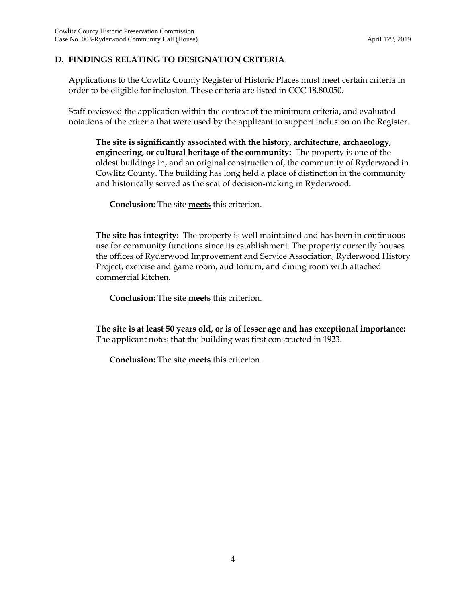### **D. FINDINGS RELATING TO DESIGNATION CRITERIA**

Applications to the Cowlitz County Register of Historic Places must meet certain criteria in order to be eligible for inclusion. These criteria are listed in CCC 18.80.050.

Staff reviewed the application within the context of the minimum criteria, and evaluated notations of the criteria that were used by the applicant to support inclusion on the Register.

**The site is significantly associated with the history, architecture, archaeology, engineering, or cultural heritage of the community:** The property is one of the oldest buildings in, and an original construction of, the community of Ryderwood in Cowlitz County. The building has long held a place of distinction in the community and historically served as the seat of decision-making in Ryderwood.

**Conclusion:** The site **meets** this criterion.

**The site has integrity:** The property is well maintained and has been in continuous use for community functions since its establishment. The property currently houses the offices of Ryderwood Improvement and Service Association, Ryderwood History Project, exercise and game room, auditorium, and dining room with attached commercial kitchen.

**Conclusion:** The site **meets** this criterion.

**The site is at least 50 years old, or is of lesser age and has exceptional importance:** The applicant notes that the building was first constructed in 1923.

**Conclusion:** The site **meets** this criterion.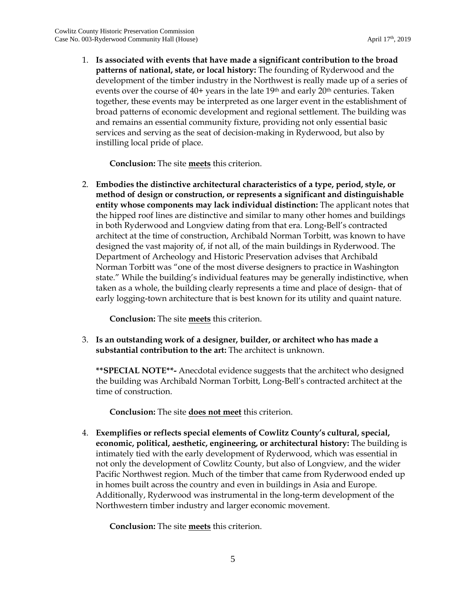1. **Is associated with events that have made a significant contribution to the broad patterns of national, state, or local history:** The founding of Ryderwood and the development of the timber industry in the Northwest is really made up of a series of events over the course of 40+ years in the late 19<sup>th</sup> and early 20<sup>th</sup> centuries. Taken together, these events may be interpreted as one larger event in the establishment of broad patterns of economic development and regional settlement. The building was and remains an essential community fixture, providing not only essential basic services and serving as the seat of decision-making in Ryderwood, but also by instilling local pride of place.

**Conclusion:** The site **meets** this criterion.

2. **Embodies the distinctive architectural characteristics of a type, period, style, or method of design or construction, or represents a significant and distinguishable entity whose components may lack individual distinction:** The applicant notes that the hipped roof lines are distinctive and similar to many other homes and buildings in both Ryderwood and Longview dating from that era. Long-Bell's contracted architect at the time of construction, Archibald Norman Torbitt, was known to have designed the vast majority of, if not all, of the main buildings in Ryderwood. The Department of Archeology and Historic Preservation advises that Archibald Norman Torbitt was "one of the most diverse designers to practice in Washington state." While the building's individual features may be generally indistinctive, when taken as a whole, the building clearly represents a time and place of design- that of early logging-town architecture that is best known for its utility and quaint nature.

**Conclusion:** The site **meets** this criterion.

3. **Is an outstanding work of a designer, builder, or architect who has made a substantial contribution to the art:** The architect is unknown.

**\*\*SPECIAL NOTE\*\*-** Anecdotal evidence suggests that the architect who designed the building was Archibald Norman Torbitt, Long-Bell's contracted architect at the time of construction.

**Conclusion:** The site **does not meet** this criterion.

4. **Exemplifies or reflects special elements of Cowlitz County's cultural, special, economic, political, aesthetic, engineering, or architectural history:** The building is intimately tied with the early development of Ryderwood, which was essential in not only the development of Cowlitz County, but also of Longview, and the wider Pacific Northwest region. Much of the timber that came from Ryderwood ended up in homes built across the country and even in buildings in Asia and Europe. Additionally, Ryderwood was instrumental in the long-term development of the Northwestern timber industry and larger economic movement.

**Conclusion:** The site **meets** this criterion.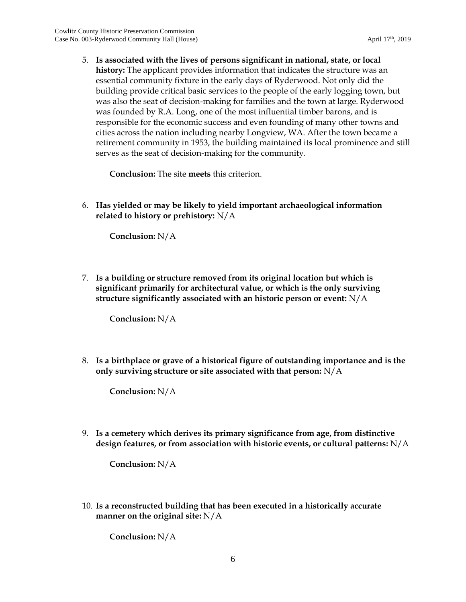5. **Is associated with the lives of persons significant in national, state, or local history:** The applicant provides information that indicates the structure was an essential community fixture in the early days of Ryderwood. Not only did the building provide critical basic services to the people of the early logging town, but was also the seat of decision-making for families and the town at large. Ryderwood was founded by R.A. Long, one of the most influential timber barons, and is responsible for the economic success and even founding of many other towns and cities across the nation including nearby Longview, WA. After the town became a retirement community in 1953, the building maintained its local prominence and still serves as the seat of decision-making for the community.

**Conclusion:** The site **meets** this criterion.

6. **Has yielded or may be likely to yield important archaeological information related to history or prehistory:** N/A

**Conclusion:** N/A

7. **Is a building or structure removed from its original location but which is significant primarily for architectural value, or which is the only surviving structure significantly associated with an historic person or event:** N/A

**Conclusion:** N/A

8. **Is a birthplace or grave of a historical figure of outstanding importance and is the only surviving structure or site associated with that person:** N/A

**Conclusion:** N/A

9. **Is a cemetery which derives its primary significance from age, from distinctive design features, or from association with historic events, or cultural patterns:** N/A

**Conclusion:** N/A

10. **Is a reconstructed building that has been executed in a historically accurate manner on the original site:** N/A

**Conclusion:** N/A